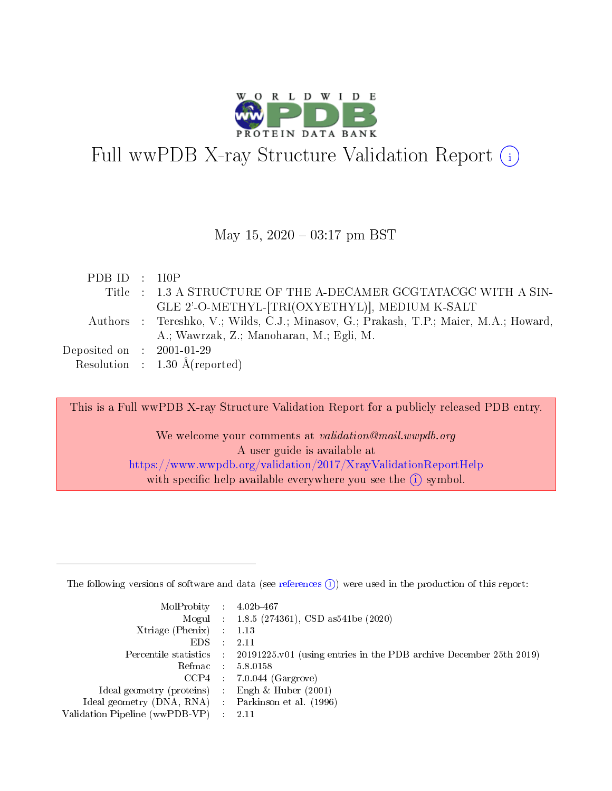

# Full wwPDB X-ray Structure Validation Report  $(i)$

## May 15,  $2020 - 03:17$  pm BST

| PDBID : 1IOP                |                                                                                       |
|-----------------------------|---------------------------------------------------------------------------------------|
|                             | Title : 1.3 A STRUCTURE OF THE A-DECAMER GCGTATACGC WITH A SIN-                       |
|                             | GLE 2'-O-METHYL-[TRI(OXYETHYL)], MEDIUM K-SALT                                        |
|                             | Authors : Tereshko, V.; Wilds, C.J.; Minasov, G.; Prakash, T.P.; Maier, M.A.; Howard, |
|                             | A.; Wawrzak, Z.; Manoharan, M.; Egli, M.                                              |
| Deposited on : $2001-01-29$ |                                                                                       |
|                             | Resolution : $1.30 \text{ Å}$ (reported)                                              |

This is a Full wwPDB X-ray Structure Validation Report for a publicly released PDB entry. We welcome your comments at validation@mail.wwpdb.org

> A user guide is available at <https://www.wwpdb.org/validation/2017/XrayValidationReportHelp> with specific help available everywhere you see the  $(i)$  symbol.

The following versions of software and data (see [references](https://www.wwpdb.org/validation/2017/XrayValidationReportHelp#references)  $(1)$ ) were used in the production of this report:

| $MolProbability$ : 4.02b-467                      |               |                                                                                            |
|---------------------------------------------------|---------------|--------------------------------------------------------------------------------------------|
|                                                   |               | Mogul : $1.8.5$ (274361), CSD as 541be (2020)                                              |
| Xtriage (Phenix) $: 1.13$                         |               |                                                                                            |
| EDS –                                             | $\mathcal{A}$ | -2.11                                                                                      |
|                                                   |               | Percentile statistics : 20191225.v01 (using entries in the PDB archive December 25th 2019) |
| Refmac : 5.8.0158                                 |               |                                                                                            |
|                                                   |               | $CCP4$ : 7.0.044 (Gargrove)                                                                |
| Ideal geometry (proteins) :                       |               | Engh $\&$ Huber (2001)                                                                     |
| Ideal geometry (DNA, RNA) Parkinson et al. (1996) |               |                                                                                            |
| Validation Pipeline (wwPDB-VP) : 2.11             |               |                                                                                            |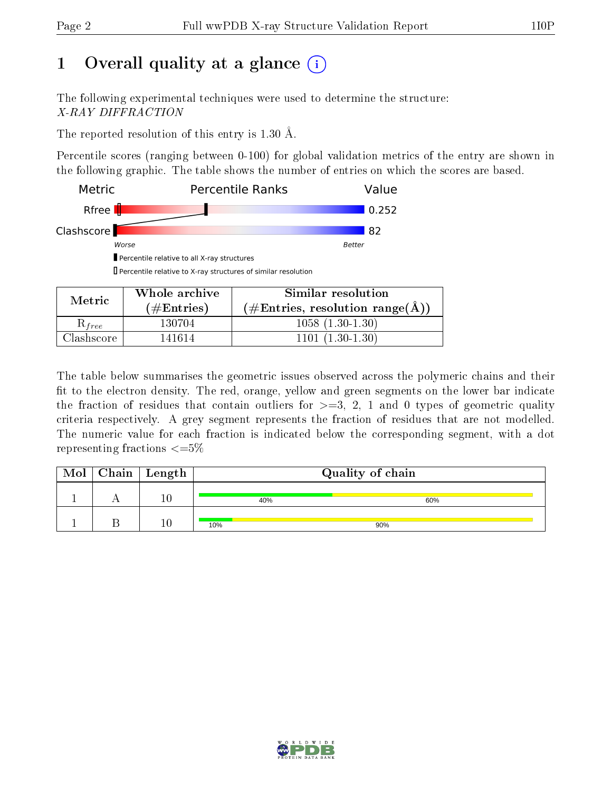# 1 [O](https://www.wwpdb.org/validation/2017/XrayValidationReportHelp#overall_quality)verall quality at a glance  $(i)$

The following experimental techniques were used to determine the structure: X-RAY DIFFRACTION

The reported resolution of this entry is 1.30 Å.

Percentile scores (ranging between 0-100) for global validation metrics of the entry are shown in the following graphic. The table shows the number of entries on which the scores are based.



| Metric            | Whole archive<br>$(\#Entries)$ | Similar resolution<br>$(\#Entries, resolution range(A))$ |
|-------------------|--------------------------------|----------------------------------------------------------|
| $\kappa_{free}$   | 130704                         | $1058(1.30-1.30)$                                        |
| $\cdot$ lashscore | 141614                         | $1101(1.30-1.30)$                                        |

The table below summarises the geometric issues observed across the polymeric chains and their fit to the electron density. The red, orange, yellow and green segments on the lower bar indicate the fraction of residues that contain outliers for  $\geq=3$ , 2, 1 and 0 types of geometric quality criteria respectively. A grey segment represents the fraction of residues that are not modelled. The numeric value for each fraction is indicated below the corresponding segment, with a dot representing fractions  $\epsilon = 5\%$ 

| Mol | $Chain$ Length | Quality of chain |     |  |
|-----|----------------|------------------|-----|--|
|     | 16             | 40%              | 60% |  |
|     |                | 10%              | 90% |  |

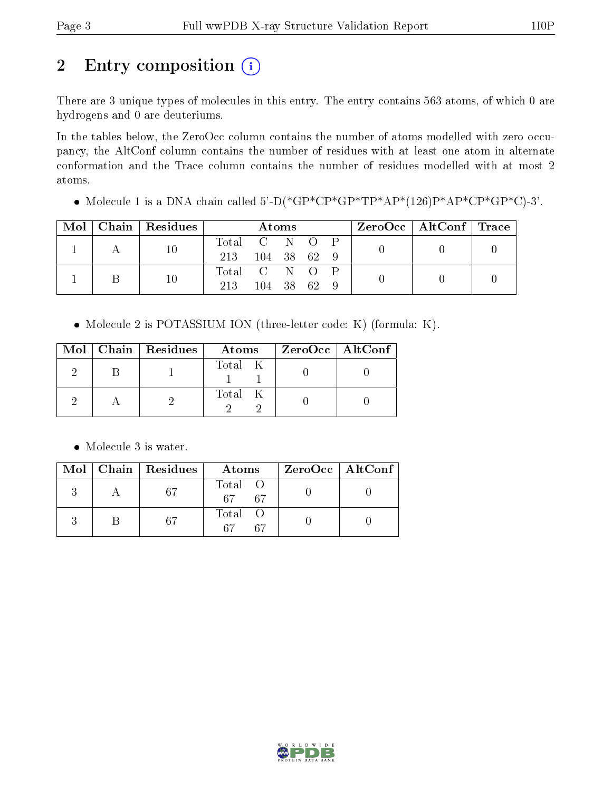# 2 Entry composition (i)

There are 3 unique types of molecules in this entry. The entry contains 563 atoms, of which 0 are hydrogens and 0 are deuteriums.

In the tables below, the ZeroOcc column contains the number of atoms modelled with zero occupancy, the AltConf column contains the number of residues with at least one atom in alternate conformation and the Trace column contains the number of residues modelled with at most 2 atoms.

• Molecule 1 is a DNA chain called 5'-D(\*GP\*CP\*GP\*TP\*AP\*(126)P\*AP\*CP\*GP\*C)-3'.

| Mol | Chain Residues | $\rm{Atoms}$  |               |  | ZeroOcc   AltConf   Trace |  |  |  |
|-----|----------------|---------------|---------------|--|---------------------------|--|--|--|
|     | $10\,$         | Total C N O   |               |  |                           |  |  |  |
|     |                | 213           | $104$ 38 62 9 |  |                           |  |  |  |
|     | 10             | Total C N O P |               |  |                           |  |  |  |
|     |                | 213           | 104 38        |  | - 62                      |  |  |  |

Molecule 2 is POTASSIUM ION (three-letter code: K) (formula: K).

|  | Mol   Chain   Residues | Atoms   | $ZeroOcc$   AltConf |
|--|------------------------|---------|---------------------|
|  |                        | Total K |                     |
|  |                        | Total K |                     |

Molecule 3 is water.

|  | $Mol$   Chain   Residues | Atoms               | ZeroOcc   AltConf |
|--|--------------------------|---------------------|-------------------|
|  | -67                      | Total O<br>67<br>67 |                   |
|  | 67                       | Total<br>67<br>67   |                   |

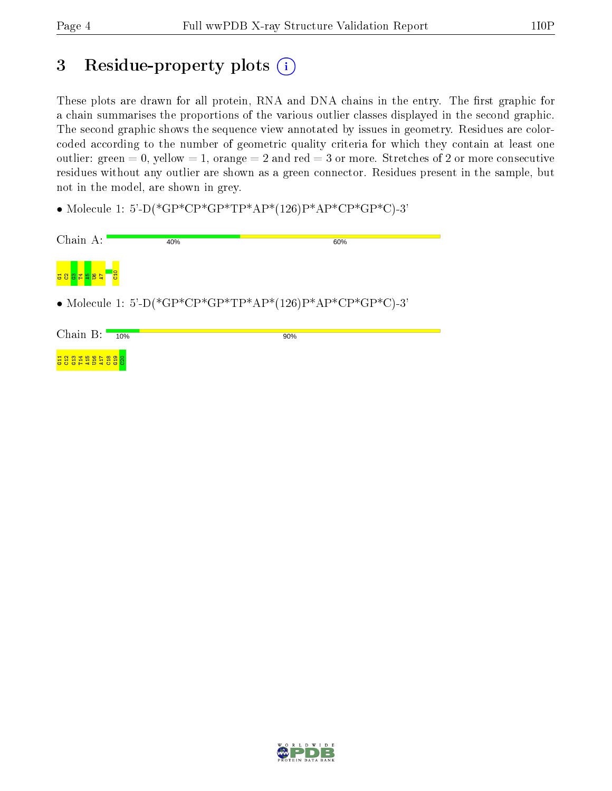# 3 Residue-property plots (i)

These plots are drawn for all protein, RNA and DNA chains in the entry. The first graphic for a chain summarises the proportions of the various outlier classes displayed in the second graphic. The second graphic shows the sequence view annotated by issues in geometry. Residues are colorcoded according to the number of geometric quality criteria for which they contain at least one outlier: green  $= 0$ , yellow  $= 1$ , orange  $= 2$  and red  $= 3$  or more. Stretches of 2 or more consecutive residues without any outlier are shown as a green connector. Residues present in the sample, but not in the model, are shown in grey.

• Molecule 1: 5'-D(\*GP\*CP\*GP\*TP\*AP\*(126)P\*AP\*CP\*GP\*C)-3'

| Chain A:               | 40%                                                      | 60% |  |  |  |  |
|------------------------|----------------------------------------------------------|-----|--|--|--|--|
| <mark>공영영법 발음 국</mark> | <b>B</b>                                                 |     |  |  |  |  |
|                        | • Molecule 1: 5'-D(*GP*CP*GP*TP*AP*(126)P*AP*CP*GP*C)-3' |     |  |  |  |  |
| Chain $B:$             | 10%                                                      | 90% |  |  |  |  |
| 흃윩욣                    |                                                          |     |  |  |  |  |

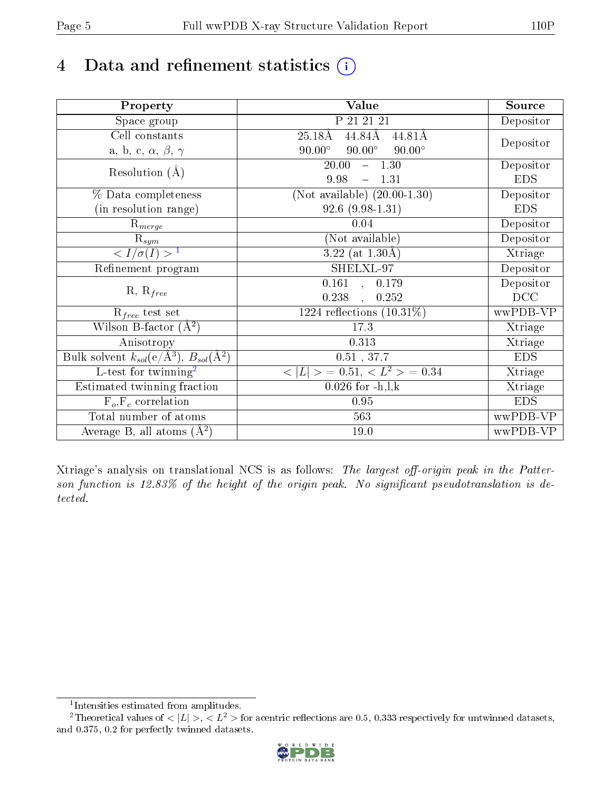# 4 Data and refinement statistics  $(i)$

| Property                                                             | Value                                                    | Source     |
|----------------------------------------------------------------------|----------------------------------------------------------|------------|
| Space group                                                          | P 21 21 21                                               | Depositor  |
| Cell constants                                                       | 44.84Å<br>25.18Å<br>44.81Å                               |            |
| a, b, c, $\alpha$ , $\beta$ , $\gamma$                               | $90.00^\circ$<br>$90.00^\circ$<br>$90.00^\circ$          | Depositor  |
| Resolution $(A)$                                                     | 20.00<br>$-1.30$                                         | Depositor  |
|                                                                      | 9.98<br>$-1.31$                                          | <b>EDS</b> |
| % Data completeness                                                  | (Not available) $(20.00-1.30)$                           | Depositor  |
| (in resolution range)                                                | $92.6(9.98-1.31)$                                        | <b>EDS</b> |
| $R_{merge}$                                                          | 0.04                                                     | Depositor  |
| $\mathrm{R}_{sym}$                                                   | (Not available)                                          | Depositor  |
| $\sqrt{I/\sigma}(I) > 1$                                             | $3.22$ (at $1.30\text{\AA}$ )                            | Xtriage    |
| Refinement program                                                   | SHELXL-97                                                | Depositor  |
|                                                                      | $\overline{0.161}$ ,<br>0.179                            | Depositor  |
| $R, R_{free}$                                                        | 0.238<br>0.252<br>$\ddot{\phantom{a}}$                   | DCC        |
| $R_{free}$ test set                                                  | 1224 reflections $(10.31\%)$                             | wwPDB-VP   |
| Wilson B-factor $(A^2)$                                              | 17.3                                                     | Xtriage    |
| Anisotropy                                                           | 0.313                                                    | Xtriage    |
| Bulk solvent $k_{sol}(e/\mathring{A}^3)$ , $B_{sol}(\mathring{A}^2)$ | $0.51$ , $37.7\,$                                        | <b>EDS</b> |
| $\overline{L-test for}$ twinning <sup>2</sup>                        | $\langle  L  \rangle = 0.51, \langle L^2 \rangle = 0.34$ | Xtriage    |
| Estimated twinning fraction                                          | $0.026$ for $-h, l, k$                                   | Xtriage    |
| $F_o, F_c$ correlation                                               | 0.95                                                     | <b>EDS</b> |
| Total number of atoms                                                | 563                                                      | wwPDB-VP   |
| Average B, all atoms $(A^2)$                                         | 19.0                                                     | wwPDB-VP   |

Xtriage's analysis on translational NCS is as follows: The largest off-origin peak in the Patterson function is  $12.83\%$  of the height of the origin peak. No significant pseudotranslation is detected.

<sup>&</sup>lt;sup>2</sup>Theoretical values of  $\langle |L| \rangle$ ,  $\langle L^2 \rangle$  for acentric reflections are 0.5, 0.333 respectively for untwinned datasets, and 0.375, 0.2 for perfectly twinned datasets.



<span id="page-4-1"></span><span id="page-4-0"></span><sup>1</sup> Intensities estimated from amplitudes.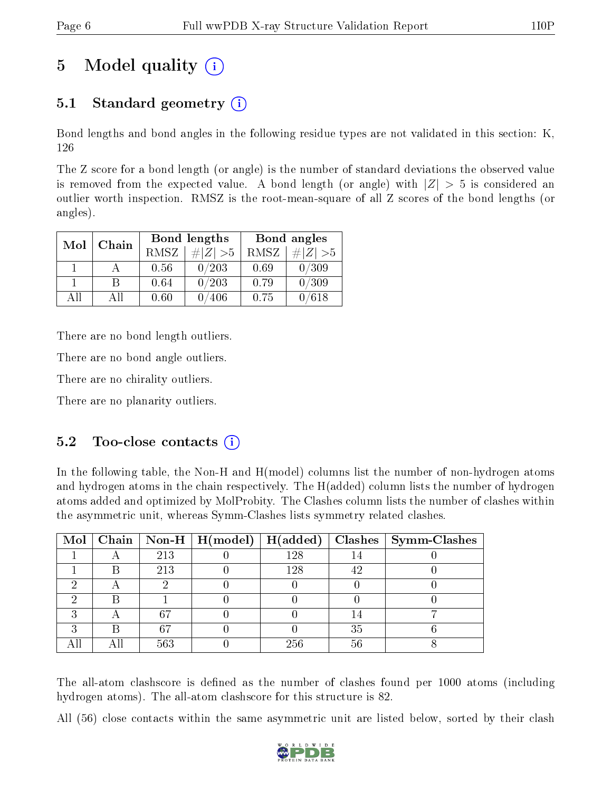# 5 Model quality  $(i)$

# 5.1 Standard geometry (i)

Bond lengths and bond angles in the following residue types are not validated in this section: K, 126

The Z score for a bond length (or angle) is the number of standard deviations the observed value is removed from the expected value. A bond length (or angle) with  $|Z| > 5$  is considered an outlier worth inspection. RMSZ is the root-mean-square of all Z scores of the bond lengths (or angles).

| Mol | Chain |             | Bond lengths   | Bond angles |                |
|-----|-------|-------------|----------------|-------------|----------------|
|     |       | <b>RMSZ</b> | $\# Z  > 5$    | RMSZ        | # $ Z  > 5$    |
|     |       | 0.56        | 0/203          | 0.69        | 0/309          |
|     |       | 0.64        | 0/203          | 0.79        | 0/309          |
| AΠ  | A 11  | 0.60        | $^{\prime}406$ | 0.75        | $^{\prime}618$ |

There are no bond length outliers.

There are no bond angle outliers.

There are no chirality outliers.

There are no planarity outliers.

## $5.2$  Too-close contacts  $(i)$

In the following table, the Non-H and H(model) columns list the number of non-hydrogen atoms and hydrogen atoms in the chain respectively. The H(added) column lists the number of hydrogen atoms added and optimized by MolProbity. The Clashes column lists the number of clashes within the asymmetric unit, whereas Symm-Clashes lists symmetry related clashes.

|  |     | Mol   Chain   Non-H   H(model)   H(added) |     |    | $\mid$ Clashes $\mid$ Symm-Clashes |
|--|-----|-------------------------------------------|-----|----|------------------------------------|
|  | 213 |                                           | 128 |    |                                    |
|  | 213 |                                           | 128 | 49 |                                    |
|  |     |                                           |     |    |                                    |
|  |     |                                           |     |    |                                    |
|  |     |                                           |     |    |                                    |
|  | 67  |                                           |     | 35 |                                    |
|  | 563 |                                           | 256 | 56 |                                    |

The all-atom clashscore is defined as the number of clashes found per 1000 atoms (including hydrogen atoms). The all-atom clashscore for this structure is 82.

All (56) close contacts within the same asymmetric unit are listed below, sorted by their clash

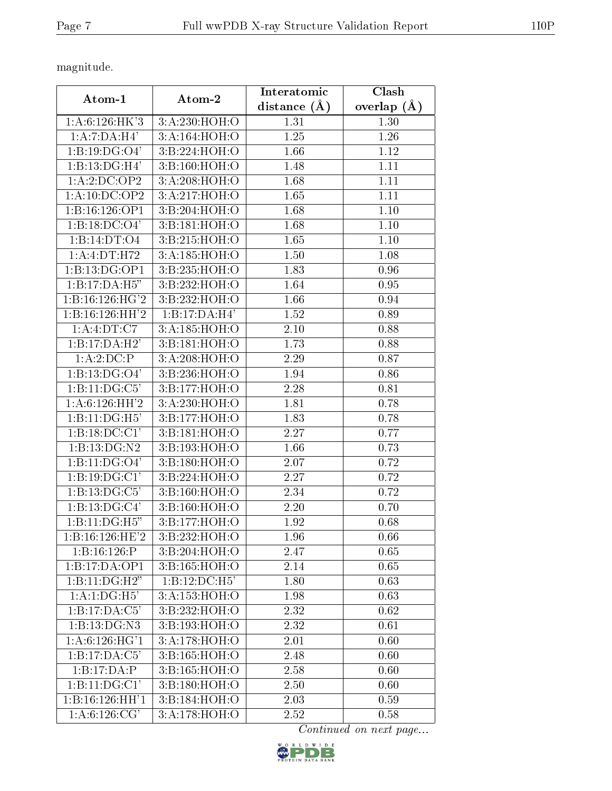magnitude.

|                            | Atom-2          | Interatomic      | Clash         |
|----------------------------|-----------------|------------------|---------------|
| Atom-1                     |                 | distance $(\AA)$ | overlap $(A)$ |
| 1: A:6:126:HK'3            | 3:A:230:HOH:O   | 1.31             | 1.30          |
| 1:A:7:DA:H4'               | 3:A:164:HOH:O   | 1.25             | 1.26          |
| 1:B:19:DG:O4'              | 3:B:224:HOH:O   | 1.66             | 1.12          |
| 1:B:13:DG:H <sub>4</sub>   | 3:Bi:160:HOH:O  | 1.48             | 1.11          |
| 1:A:2:DC:OP2               | 3:A:208:HOH:O   | 1.68             | 1.11          |
| 1:A:10:DC:OP2              | 3:A:217:HOH:O   | 1.65             | 1.11          |
| 1:B:16:126:OP1             | 3:B:204:HOH:O   | 1.68             | 1.10          |
| 1:B:18:DC:O4'              | 3:B:181:HOH:O   | 1.68             | 1.10          |
| 1:B:14:DT:O4               | 3:B:215:HOH:O   | 1.65             | 1.10          |
| 1:A:4:DT:H72               | 3:A:185:HOH:O   | 1.50             | 1.08          |
| 1:B:13:DG:OP1              | 3:B:235:HOH:O   | 1.83             | 0.96          |
| 1:B:17:DA:H5"              | 3:B:232:HOH:O   | 1.64             | 0.95          |
| 1:1:16:126:HG'2            | 3:B:232:HOH:O   | 1.66             | 0.94          |
| 1:B:16:126:HH'2            | 1:B:17:DA:H4'   | 1.52             | 0.89          |
| 1: A: 4: DT: C7            | 3:A:185:HOH:O   | 2.10             | 0.88          |
| 1:B:17:DA:H2'              | 3:B:181:HOH:O   | 1.73             | 0.88          |
| 1:A:2:DC:P                 | 3:A:208:HOH:O   | 2.29             | 0.87          |
| 1:B:13:DG:O4'              | 3:B:236:HOH:O   | 1.94             | 0.86          |
| 1:B:11:DG:C5'              | 3:Bi:177:HOH:O  | 2.28             | 0.81          |
| 1: A:6:126:HH'2            | 3:A:230:HOH:O   | 1.81             | 0.78          |
| 1:B:11:DG:H5'              | 3:B:177:HOH:O   | 1.83             | 0.78          |
| 1:B:18:DC:CI'              | 3:B:181:HOH:O   | 2.27             | 0.77          |
| 1:B:13:DG:N2               | 3:B:193:HOH:O   | 1.66             | 0.73          |
| 1:B:11:DG:O4'              | 3:Bi:180:HOH:O  | 2.07             | 0.72          |
| 1:B:19:DG:Cl'              | 3:B:224:HOH:O   | 2.27             | 0.72          |
| 1:B:13:DG:C5'              | 3:B:160:HOH:O   | 2.34             | 0.72          |
| 1:B:13:DG:C4'              | 3:B:160:HOH:O   | 2.20             | 0.70          |
| 1:B:11:DG:H5"              | 3:B:177:HOH:O   | 1.92             | 0.68          |
| 1: B: 16:126: HE'2         | 3:B:232:HOH:O   | 1.96             | 0.66          |
| 1: B: 16:126: P            | 3: B:204: HOH:O | 2.47             | 0.65          |
| 1:B:17:DA:OP1              | 3:B:165:HOH:O   | 2.14             | 0.65          |
| 1:B:11:DG:H2"              | 1:B:12:DC:H5'   | 1.80             | 0.63          |
| 1:A:1:DG:H5'               | 3:A:153:HOH:O   | 1.98             | 0.63          |
| 1:B:17:DA:C5'              | 3:B:232:HOH:O   | 2.32             | 0.62          |
| 1:B:13:DG:N3               | 3:B:193:HOH:O   | 2.32             | 0.61          |
| 1: A:6:126:H G'1           | 3:A:178:HOH:O   | 2.01             | 0.60          |
| 1:B:17:DA:C5'              | 3:B:165:HOH:O   | 2.48             | 0.60          |
| 1:B:17:DA:P                | 3:B:165:HOH:O   | 2.58             | 0.60          |
| $1:B:11:\overline{DG:C1'}$ | 3:B:180:HOH:O   | 2.50             | 0.60          |
| 1:B:16:126:HH'1            | 3:B:184:HOH:O   | 2.03             | 0.59          |
| 1: A:6:126: CG'            | 3:A:178:HOH:O   | 2.52             | 0.58          |

Continued on next page...

PROTEIN DATA BANK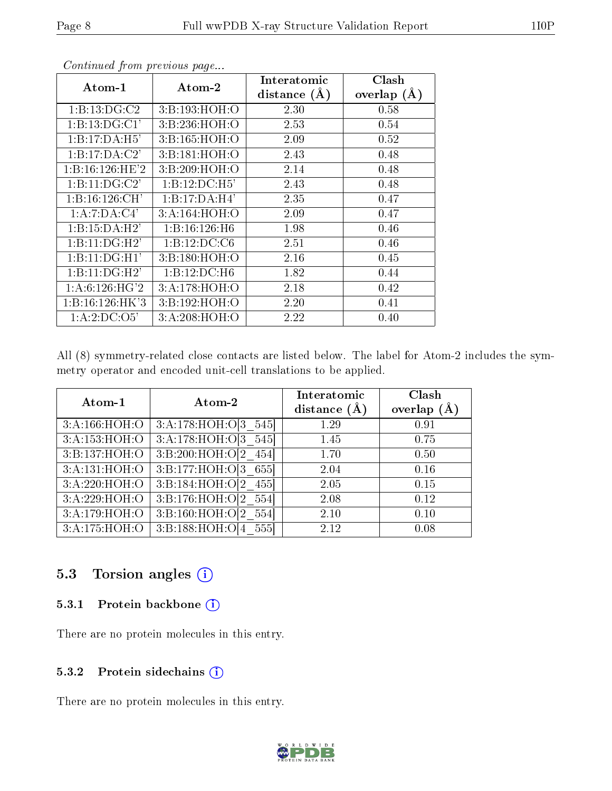|                                      |                | Interatomic    | Clash           |
|--------------------------------------|----------------|----------------|-----------------|
| Atom-1                               | Atom-2         | distance $(A)$ | overlap $(\AA)$ |
| 1: B: 13: DG: C2                     | 3:B:193:HOH:O  | 2.30           | 0.58            |
| 1:B:13:DG:Cl'                        | 3:B:236:HOH:O  | 2.53           | 0.54            |
| 1:B:17:DA:H5'                        | 3:B:165:HOH:O  | 2.09           | 0.52            |
| 1:B:17:DA:C2'                        | 3:Bi:181:HOH:O | 2.43           | 0.48            |
| 1: B: 16:126: HE'2                   | 3:B:209:HOH:O  | 2.14           | 0.48            |
| 1:B:11:DG:C2'                        | 1:B:12:DC:H5'  | 2.43           | 0.48            |
| 1: B: 16:126:CH'                     | 1:B:17:DA:H4'  | 2.35           | 0.47            |
| 1:A:7:DA:C4'                         | 3:A:164:HOH:O  | 2.09           | 0.47            |
| 1:B:15:DA:H2'                        | 1:B:16:126:H6  | 1.98           | 0.46            |
| 1:B:11:DG:H2'                        | 1:B:12:DC:C6   | 2.51           | 0.46            |
| 1:B:11:DG:H1'                        | 3:B:180:HOH:O  | 2.16           | 0.45            |
| 1:B:11:DG:H2'                        | 1:B:12:DC:H6   | 1.82           | 0.44            |
| 1: A:6:126:H <sub>G</sub> '2         | 3:A:178:HOH:O  | 2.18           | 0.42            |
| 1: B: 16:126: HK3                    | 3:B:192:HOH:O  | 2.20           | 0.41            |
| 1:A:2:D <sub>C</sub> :O <sub>5</sub> | 3:A:208:HOH:O  | 2.22           | 0.40            |

Continued from previous page...

All (8) symmetry-related close contacts are listed below. The label for Atom-2 includes the symmetry operator and encoded unit-cell translations to be applied.

| Atom-1        | Atom-2                                       | Interatomic    | Clash         |
|---------------|----------------------------------------------|----------------|---------------|
|               |                                              | distance $(A)$ | overlap $(A)$ |
| 3:A:166:HOH:O | $3:\overline{A}:178:\overline{HO}H:O[3_545]$ | 1.29           | 0.91          |
| 3:A:153:HOH:O | 3:A:178:HOH:O[3 545]                         | 1.45           | 0.75          |
| 3:B:137:HOH:O | $3:B:200:H\overline{OH:O[2\quad454]}$        | 1.70           | 0.50          |
| 3:A:131:HOH:O | 3:B:177:HOH:O[3 655]                         | 2.04           | 0.16          |
| 3:A:220:HOH:O | 3:B:184:HOH:O[2 455]                         | 2.05           | 0.15          |
| 3:A:229:HOH:O | $3:B:176:HOH:O[2_554]$                       | 2.08           | 0.12          |
| 3:A:179:HOH:O | 3:B:160:HOH:O[2 554]                         | 2.10           | 0.10          |
| 3:A:175:HOH:O | 3:B:188:HOH:O[4 555]                         | 2.12           | 0.08          |

## 5.3 Torsion angles (i)

#### 5.3.1 Protein backbone (i)

There are no protein molecules in this entry.

#### 5.3.2 Protein sidechains (i)

There are no protein molecules in this entry.

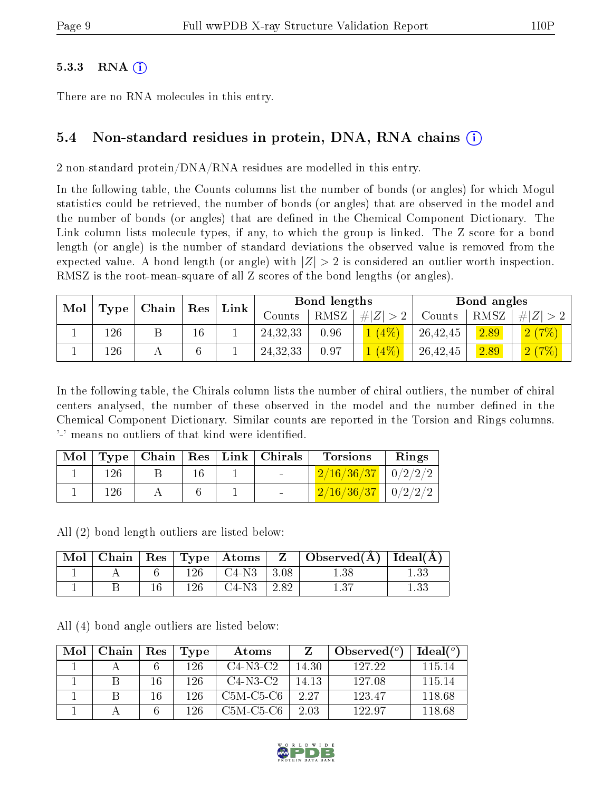#### $5.3.3$  RNA  $(i)$

There are no RNA molecules in this entry.

# 5.4 Non-standard residues in protein, DNA, RNA chains (i)

2 non-standard protein/DNA/RNA residues are modelled in this entry.

In the following table, the Counts columns list the number of bonds (or angles) for which Mogul statistics could be retrieved, the number of bonds (or angles) that are observed in the model and the number of bonds (or angles) that are defined in the Chemical Component Dictionary. The Link column lists molecule types, if any, to which the group is linked. The Z score for a bond length (or angle) is the number of standard deviations the observed value is removed from the expected value. A bond length (or angle) with  $|Z| > 2$  is considered an outlier worth inspection. RMSZ is the root-mean-square of all Z scores of the bond lengths (or angles).

| Mol<br>$\mid$ Type $\mid$ Chain $\mid$ | Res | Link |    | Bond lengths |            |      | Bond angles |          |      |          |
|----------------------------------------|-----|------|----|--------------|------------|------|-------------|----------|------|----------|
|                                        |     |      |    |              | Counts:    | RMSZ | # $ Z  > 2$ | Counts   | RMSZ | $\# Z >$ |
|                                        | 126 |      | 16 |              | 24, 32, 33 | 0.96 | $1(4\%)$    | 26,42,45 | 2.89 | (2(7%)   |
|                                        | 126 |      |    |              | 24, 32, 33 | 0.97 | 1(4%)       | 26,42,45 | 2.89 | (2(7%)   |

In the following table, the Chirals column lists the number of chiral outliers, the number of chiral centers analysed, the number of these observed in the model and the number defined in the Chemical Component Dictionary. Similar counts are reported in the Torsion and Rings columns. '-' means no outliers of that kind were identified.

| Mol |     |  | Type   Chain   Res   Link   Chirals | <b>Torsions</b>                                         | Rings |
|-----|-----|--|-------------------------------------|---------------------------------------------------------|-------|
|     | 126 |  | <b>Contract Contract</b>            | $2/16/36/37$   $0/2/2/2$                                |       |
|     | 126 |  |                                     | $\left[ \frac{2}{16} \frac{36}{37} \right]$   $0/2/2/2$ |       |

All (2) bond length outliers are listed below:

| Mol |  |     | Chain   Res   Type   Atoms $\overline{\phantom{a}}$ | $\mathbf{Z}$ | $\mid$ Observed( $\rm \AA$ ) $\mid$ Ideal( $\rm \AA$ ) |  |
|-----|--|-----|-----------------------------------------------------|--------------|--------------------------------------------------------|--|
|     |  |     | $C4-N3$                                             | 3.08         | 1.38                                                   |  |
|     |  | 126 | C4-N3                                               | 2.82         |                                                        |  |

All (4) bond angle outliers are listed below:

| Mol | Chain | Res | <b>Type</b> | Atoms       |       | Observed $(°)$ | Ideal(°) |
|-----|-------|-----|-------------|-------------|-------|----------------|----------|
|     |       |     | 126         | $C4-N3-C2$  | 14.30 | 127.22         | 115 14   |
|     |       | 16  | 126.        | $C4-N3-C2$  | 14.13 | 127.08         | 115.14   |
|     |       | 16  | 196         | $C5M-C5-C6$ | 2.27  | 123.47         | 118.68   |
|     |       |     | 196         | C5M-C5-C6   | 2.03  | 122.97         | 118.68   |

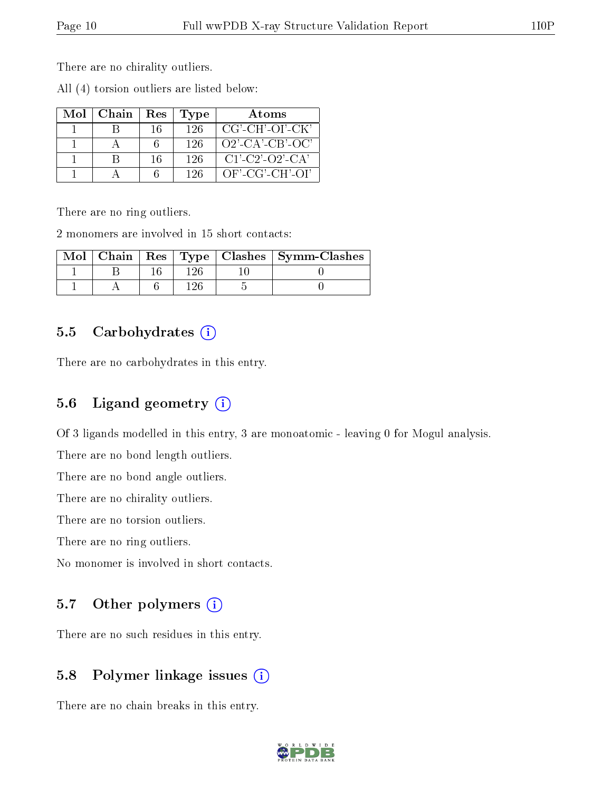There are no chirality outliers.

All (4) torsion outliers are listed below:

| Mol | Chain | Res | 'Type | Atoms              |
|-----|-------|-----|-------|--------------------|
|     |       | 16  | -126  | CG'-CH'-OI'-CK'    |
|     |       |     | 126   | $O2'$ -CA'-CB'-OC' |
|     |       | 16  | 126   | $C1'$ -C2'-O2'-CA' |
|     |       |     | 196   | $OF\_CG\_CH\_OI'$  |

There are no ring outliers.

2 monomers are involved in 15 short contacts:

|  |       | Mol   Chain   Res   Type   Clashes   Symm-Clashes |
|--|-------|---------------------------------------------------|
|  | 1 9 G |                                                   |
|  | 1 ባፎ  |                                                   |

### 5.5 Carbohydrates (i)

There are no carbohydrates in this entry.

# 5.6 Ligand geometry  $(i)$

Of 3 ligands modelled in this entry, 3 are monoatomic - leaving 0 for Mogul analysis.

There are no bond length outliers.

There are no bond angle outliers.

There are no chirality outliers.

There are no torsion outliers.

There are no ring outliers.

No monomer is involved in short contacts.

### 5.7 [O](https://www.wwpdb.org/validation/2017/XrayValidationReportHelp#nonstandard_residues_and_ligands)ther polymers (i)

There are no such residues in this entry.

## 5.8 Polymer linkage issues  $(i)$

There are no chain breaks in this entry.